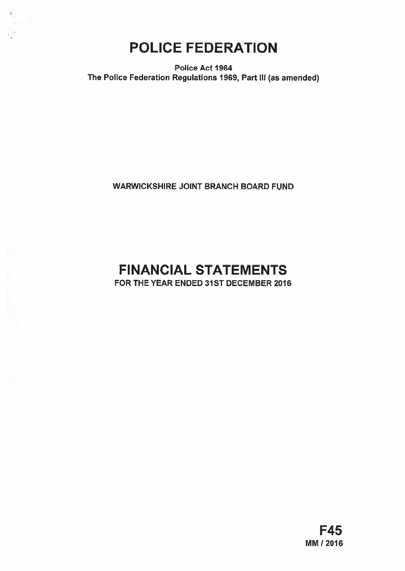

 $\frac{\mathbf{k}}{\mathbf{v}^{\prime}}$ 

Police Act 1964 The Police Federation Regulations 1969, Part III (as amended)

WARWICKSHIRE JOINT BRANCH BOARD FUND

# FINANCIAL STATEMENTS

FOR THE YEAR ENDED 31ST DECEMBER 2016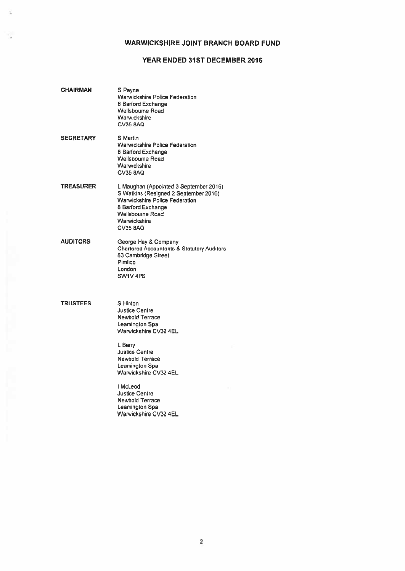# WARWICKSHIRE JOINT BRANCH BOARD FUND

# YEAR ENDED 31ST DECEMBER 2016

| CHAIRMAN        | S Payne<br><b>Warwickshire Police Federation</b><br>8 Barford Exchange<br><b>Wellsbourne Road</b><br>Warwickshire<br><b>CV35 8AQ</b>                                                                                                                                                                                      |
|-----------------|---------------------------------------------------------------------------------------------------------------------------------------------------------------------------------------------------------------------------------------------------------------------------------------------------------------------------|
| SECRETARY       | S Martin<br><b>Warwickshire Police Federation</b><br>8 Barford Exchange<br><b>Wellsbourne Road</b><br>Warwickshire<br><b>CV35 BAQ</b>                                                                                                                                                                                     |
| TREASURER       | L Maughan (Appointed 3 September 2016)<br>S Watkins (Resigned 2 September 2016)<br><b>Warwickshire Police Federation</b><br>8 Barford Exchange<br><b>Wellsbourne Road</b><br>Warwickshire<br>CV35 8AQ                                                                                                                     |
| AUDITORS        | George Hay & Company<br><b>Chartered Accountants &amp; Statutory Auditors</b><br>83 Cambridge Street<br>Pimlico<br>London<br>SW1V 4PS                                                                                                                                                                                     |
| <b>TRUSTEES</b> | S Hinton<br><b>Justice Centre</b><br><b>Newbold Terrace</b><br>Leamington Spa<br>Warwickshire CV32 4EL<br>L Barry<br><b>Justice Centre</b><br><b>Newbold Terrace</b><br>Leamington Spa<br>Warwickshire CV32 4EL<br>I McLeod<br><b>Justice Centre</b><br><b>Newbold Terrace</b><br>Leamington Spa<br>Warwickshire CV32 4EL |

 $\frac{1}{2}$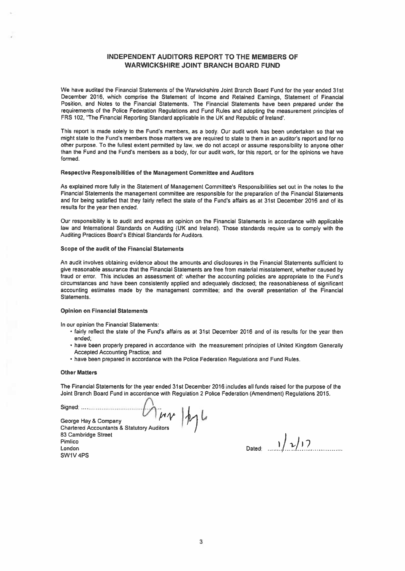# INDEPENDENT AUDITORS REPORT TO THE MEMBERS OF WARWICKSHIRE JOINT BRANCH BOARD FUND

We have audited the Financial Statements of the Warwickshire Joint Branch Board Fund for the year ended 31st December 2Q16, which comprise the Statement of Income and Retained Earnings, Statement of Financial Position, and Notes to the Financial Statements. The Financial Statements have been prepared under the requirements of the Police Federation Regulations and Fund Rules and adopting the measurement principles of FRS 102, "The Financial Reporting Standard applicable in the UK and Republic of Ireland'.

This repor<sup>t</sup> is made solely to the Fund's members, as <sup>a</sup> body. Our audit work has been undertaken so that we might state to the Fund's members those matters we are required to state to them in an auditor's repor<sup>t</sup> and for no other purpose. To the fullest extent permitted by law, we do not accep<sup>t</sup> or assume responsibility to anyone other than the Fund and the Fund's members as <sup>a</sup> body, for our audit work, for this report, or for the opinions we have formed,

#### Respective Responsibilities of the Management Committee and Auditors

As explained more fully in the Statement of Management Committee's Responsibilities set out in the notes to the Financial Statements the managemen<sup>t</sup> committee are responsible for the preparation of the Financial Statements and for being satisfied that they fairly reflect the state of the Fund's affairs as at 31st December 2Q16 and of its results for the year then ended.

Our responsibility is to audit and express an opinion on the Financial Statements in accordance with applicable law and International Standards on Auditing (UK and Ireland). Those standards require us to comply with the Auditing Practices Board's Ethical Standards for Auditors.

## Scope of the audit of the Financial Statements

An audit involves obtaining evidence about the amounts and disclosures in the Financial Statements sufficient to <sup>g</sup>ive reasonable assurance that the Financial Statements are free from material misstatement, whether caused by fraud or error. This includes an assessment of: whether the accounting policies are appropriate to the Fund's circumstances and have been consistently applied and adequately disclosed; the reasonableness of significant accounting estimates made by the managemen<sup>t</sup> committee; and the overall presentation of the Financial **Statements** 

## Opinion on Financial Statements

In our opinion the Financial Statements:

- fairly reflect the state of the Fund's affairs as at 31st December 2016 and of its results for (he year then ended;
- have been properly prepared in accordance with the measurement principles of United Kingdom Generally Accepted Accounting Practice; and
- have been prepared in accordance with the Police Federation Regulations and Fund Rules.

#### **Other Matters**

The Financial Statements for the year ended 31st December 2016 includes all funds raised for the purpose of the Joint Branch Board Fund in accordance with Regulation 2 Police Federation (Amendment) Regulations 2015.

Signed.........................................

 $|W|$ 

George Hay & Company Chartered Accountants & Statutory Auditors 83 Cambridge Street Pimlico  $\frac{1}{2}$ <br>London Dated:  $\frac{1}{2}$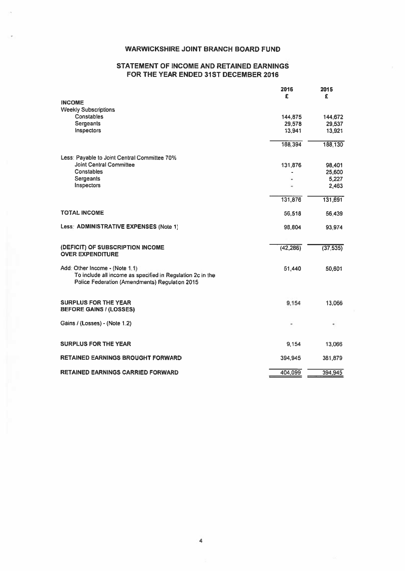# WARWICKSHIRE JOINT BRANCH BOARD FUND

# STATEMENT OF INCOME AND RETAINED EARNINGS FOR THE YEAR ENDED 31ST DECEMBER 2016

|                                                                                                                                                | 2016<br>£ | 2015<br>£ |
|------------------------------------------------------------------------------------------------------------------------------------------------|-----------|-----------|
| <b>INCOME</b>                                                                                                                                  |           |           |
| <b>Weekly Subscriptions</b>                                                                                                                    |           |           |
| Constables                                                                                                                                     | 144,875   | 144,672   |
| <b>Sergeants</b>                                                                                                                               | 29,578    | 29,537    |
| Inspectors                                                                                                                                     | 13,941    | 13.921    |
|                                                                                                                                                | 188,394   | 188,130   |
| Less: Payable to Joint Central Committee 70%                                                                                                   |           |           |
| <b>Joint Central Committee</b>                                                                                                                 | 131,876   | 98,401    |
| Constables                                                                                                                                     |           | 25,600    |
| Sergeants                                                                                                                                      |           | 5,227     |
| Inspectors                                                                                                                                     |           | 2.463     |
|                                                                                                                                                | 131,876   | 131,691   |
| <b>TOTAL INCOME</b>                                                                                                                            | 56,518    | 56.439    |
| Less: ADMINISTRATIVE EXPENSES (Note 1)                                                                                                         | 98,804    | 93,974    |
|                                                                                                                                                |           |           |
| (DEFICIT) OF SUBSCRIPTION INCOME<br><b>OVER EXPENDITURE</b>                                                                                    | (42, 286) | (37, 535) |
| Add: Other Income - (Note 1.1)<br>To include all income as specified in Regulation 2c in the<br>Police Federation (Amendments) Regulation 2015 | 51,440    | 50,601    |
| <b>SURPLUS FOR THE YEAR</b><br><b>BEFORE GAINS / (LOSSES)</b>                                                                                  | 9.154     | 13,066    |
| Gains / (Losses) - (Note 1.2)                                                                                                                  |           |           |
| <b>SURPLUS FOR THE YEAR</b>                                                                                                                    | 9,154     | 13,066    |
| <b>RETAINED EARNINGS BROUGHT FORWARD</b>                                                                                                       | 394,945   | 381,879   |
| <b>RETAINED EARNINGS CARRIED FORWARD</b>                                                                                                       | 404.099   | 394,945   |

4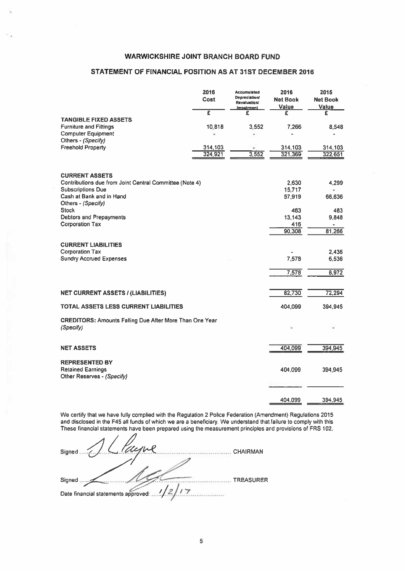# WARWICKSHIRE JOINT BRANCH BOARD FUND

# STATEMENT OF FINANCIAL POSITION AS AT 31ST DECEMBER 2016

| <b>WARWICKSHIRE JOINT BRANCH BOARD FUND</b>                                         |              |                                            |                         |                         |
|-------------------------------------------------------------------------------------|--------------|--------------------------------------------|-------------------------|-------------------------|
| STATEMENT OF FINANCIAL POSITION AS AT 31ST DECEMBER 2016                            |              |                                            |                         |                         |
|                                                                                     |              |                                            |                         |                         |
|                                                                                     | 2016<br>Cost | <b>Accumulated</b><br><b>Depreciation/</b> | 2016<br><b>Net Book</b> | 2015<br><b>Net Book</b> |
|                                                                                     |              | Revaluation/<br>Impairment.                | Value                   | Value                   |
| <b>TANGIBLE FIXED ASSETS</b>                                                        | £            | £                                          | £                       | £                       |
| <b>Furniture and Fittings</b>                                                       | 10,818       | 3,552                                      | 7,266                   | 8,548                   |
| <b>Computer Equipment</b><br>Others - (Specify)                                     |              |                                            |                         |                         |
| <b>Freehold Property</b>                                                            | 314,103      |                                            | 314,103                 | 314,103                 |
|                                                                                     | 324,921      | 3,552                                      | 321,369                 | 322,651                 |
|                                                                                     |              |                                            |                         |                         |
| <b>CURRENT ASSETS</b>                                                               |              |                                            |                         |                         |
| Contributions due from Joint Central Committee (Note 4)<br><b>Subscriptions Due</b> |              |                                            | 2.630<br>15,717         | 4,299                   |
| Cash at Bank and in Hand                                                            |              |                                            | 57,919                  | 66,636                  |
| Others - (Specify)                                                                  |              |                                            |                         |                         |
| <b>Stock</b><br><b>Debtors and Prepayments</b>                                      |              |                                            | 483<br>13,143           | 483<br>9,848            |
| <b>Corporation Tax</b>                                                              |              |                                            | 416                     |                         |
|                                                                                     |              |                                            | 90,308                  | 81,266                  |
| <b>CURRENT LIABILITIES</b>                                                          |              |                                            |                         |                         |
| Corporation Tax                                                                     |              |                                            |                         | 2,436                   |
| <b>Sundry Accrued Expenses</b>                                                      |              |                                            | 7,578                   | 6.536                   |
|                                                                                     |              |                                            | 7,578                   | 8,972                   |
|                                                                                     |              |                                            |                         |                         |
| <b>NET CURRENT ASSETS / (LIABILITIES)</b>                                           |              |                                            | 82,730                  | 72,294                  |
| TOTAL ASSETS LESS CURRENT LIABILITIES                                               |              |                                            | 404,099                 | 394,945                 |
| <b>CREDITORS: Amounts Falling Due After More Than One Year</b>                      |              |                                            |                         |                         |
| (Specify)                                                                           |              |                                            |                         |                         |
|                                                                                     |              |                                            |                         |                         |
| <b>NET ASSETS</b>                                                                   |              |                                            | 404,099                 | 394,945                 |
| <b>REPRESENTED BY</b>                                                               |              |                                            |                         |                         |
| <b>Retained Earnings</b>                                                            |              |                                            | 404,099                 | 394,945                 |
| Other Reserves - (Specify)                                                          |              |                                            |                         |                         |
|                                                                                     |              |                                            |                         |                         |
|                                                                                     |              |                                            | 404,099                 | 394,945                 |

We certify that we have fully complied with the Regulation 2 Police Federation (Amendment) Regulations 2015 and disclosed in the F45 all funds of which we are <sup>a</sup> beneficiary. We understand that failure to comply with this These financial statements have been prepared using the measurement principles and provisions of FRS 102.

 $Signed \sim 1$  . CHAIRMAN Signed the Contract of the TREASURER. Date financial statements approved: .....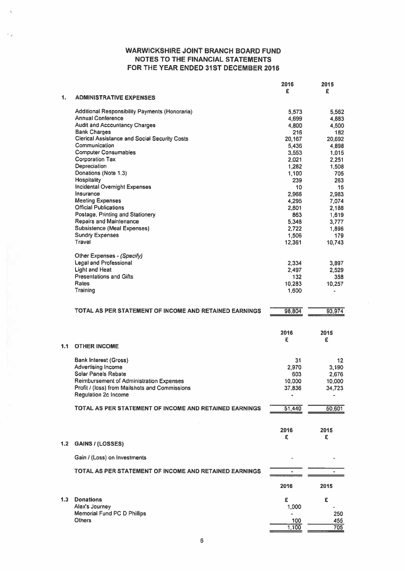|     |                                                                            | 2016            | 2015           |
|-----|----------------------------------------------------------------------------|-----------------|----------------|
|     |                                                                            | £               | £              |
| 1.  | <b>ADMINISTRATIVE EXPENSES</b>                                             |                 |                |
|     |                                                                            |                 |                |
|     | Additional Responsibility Payments (Honoraria)<br><b>Annual Conference</b> | 5,573<br>4,699  | 5,562<br>4,883 |
|     | <b>Audit and Accountancy Charges</b>                                       | 4,800           | 4,500          |
|     | <b>Bank Charges</b>                                                        | 216             | 182            |
|     | <b>Clerical Assistance and Social Security Costs</b>                       | 20.167          | 20,692         |
|     | Communication                                                              | 5,436           | 4,898          |
|     | <b>Computer Consumables</b>                                                | 3,553           | 1,015          |
|     | <b>Corporation Tax</b>                                                     | 2,021           | 2,251          |
|     | Depreciation                                                               | 1,282           | 1,508          |
|     | Donations (Note 1.3)                                                       | 1,100           | 705            |
|     | Hospitality                                                                | 239             | 263            |
|     | Incidental Overnight Expenses                                              | 10              | 15             |
|     | Insurance                                                                  | 2,966           | 2,983          |
|     | <b>Meeting Expenses</b>                                                    | 4,295           | 7,074          |
|     | <b>Official Publications</b>                                               | 2,801           | 2.188          |
|     | Postage, Printing and Stationery                                           | 863             | 1,619          |
|     | <b>Repairs and Maintenance</b><br><b>Subsistence (Meal Expenses)</b>       | 5,348           | 3,777          |
|     | <b>Sundry Expenses</b>                                                     | 2,722           | 1,896          |
|     | Travel                                                                     | 1,506<br>12,361 | 179<br>10,743  |
|     |                                                                            |                 |                |
|     | Other Expenses - (Specify)                                                 |                 |                |
|     | <b>Legal and Professional</b>                                              | 2,334           | 3,897          |
|     | <b>Light and Heat</b>                                                      | 2,497           | 2,529          |
|     | <b>Presentations and Gifts</b>                                             | 132             | 358            |
|     | <b>Rates</b>                                                               | 10,283          | 10,257         |
|     | Training                                                                   | 1,600           |                |
|     |                                                                            |                 |                |
|     |                                                                            |                 |                |
|     | TOTAL AS PER STATEMENT OF INCOME AND RETAINED EARNINGS                     | 98,804          | 93,974         |
|     |                                                                            |                 |                |
|     |                                                                            |                 |                |
|     |                                                                            | 2016            | 2015           |
| 1.1 | <b>OTHER INCOME</b>                                                        | £               | £              |
|     |                                                                            |                 |                |
|     | <b>Bank Interest (Gross)</b>                                               | 31              | 12             |
|     | Advertising Income                                                         | 2,970           | 3,190          |
|     | Solar Panels Rebate                                                        | 603             | 2,676          |
|     | <b>Reimbursement of Administration Expenses</b>                            | 10,000          | 10,000         |
|     | Profit / (loss) from Mailshots and Commissions                             | 37,836          | 34,723         |
|     | <b>Regulation 2c Income</b>                                                |                 |                |
|     |                                                                            |                 |                |
|     | TOTAL AS PER STATEMENT OF INCOME AND RETAINED EARNINGS                     | 51,440          | 50,601         |
|     |                                                                            |                 |                |
|     |                                                                            |                 |                |
|     |                                                                            | 2016            | 2015           |
|     |                                                                            | £               | £              |
| 1.2 | GAINS / (LOSSES)                                                           |                 |                |
|     | Gain / (Loss) on Investments                                               |                 |                |
|     |                                                                            |                 |                |
|     | TOTAL AS PER STATEMENT OF INCOME AND RETAINED EARNINGS                     |                 |                |
|     |                                                                            |                 |                |
|     |                                                                            | 2016            | 2015           |
| 1.3 | <b>Donations</b>                                                           | £               | £              |
|     | Alex's Journey                                                             | 1,000           |                |
|     | <b>Memorial Fund PC D Phillips</b>                                         |                 | 250            |
|     | <b>Others</b>                                                              | 100             | 455            |
|     |                                                                            | 1,100           | 705            |
|     |                                                                            |                 |                |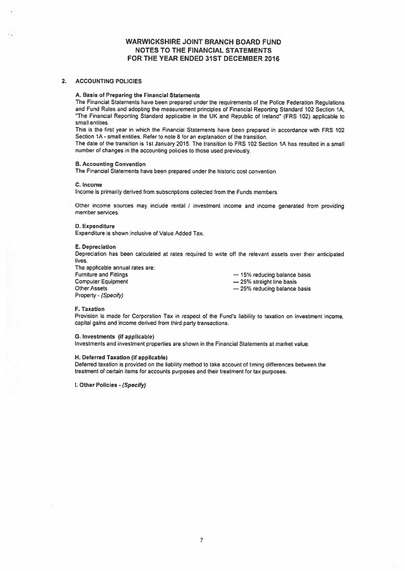## 2. ACCOUNTING POLICIES

#### A. Basis of Preparing the Financial Statements

The Financial Siatements have been prepared under the requirements of the Police Federation Regulations and Fund Rules and adopting the measurement principles of Financial Reporting Standard 102 Sedion 1A, "The Financial Reporting Standard applicable in the UK and Republic of Ireland" (FRS 102) applicable to small entities.

This is the first year in which the Financial Statements have been prepared in accordance with FRS 102 Section 1A - small entities. Refer to note 8 for an explanation of the transition.

The date of the transition is 1st January 2015. The transition to FRS 102 Section 1A has resulted in <sup>a</sup> small number of changes in the accounting policies to those used previously.

## B. Accounting Convention

The Financial Statements have been prepared under the historic cost convention.

#### C. Income

Income is primarily derived from subscriptions collected from the Funds members.

Other income sources may include rental <sup>I</sup> investment income and income generated from providing member services.

#### D. Expenditure

Expenditure is shown inclusive of Value Added Tax.

#### E. Depreciation

Depreciation has been calculated at rates required to write off the relevant assets over their anticipated lives.

The applicable annual rates are: Furniture and Fittings<br>
Computer Equipment<br>  $-25%$  straight line basis<br>  $-25%$  straight line basis Computer Equipment — 25% straight line basis<br>Other Assets<br>
— 25% reducing balance Property - (Specify)

- 25% reducing balance basis

#### F. Taxation

Provision is made for Corporation Tax in respec<sup>t</sup> of the Fund's liability to taxation on investment income, capital gains and income derived from third party transactions.

#### C. Investments (if applicable)

Investments and investment properties are shown in the Financial Statements at market value.

## H. Deferred Taxation (if applicable)

Deferred taxation is provided on the liability method to take account of timing differences between the treatment of certain items for accounts purposes and their treatment for tax purposes.

l. Other Policies *- (Specify)*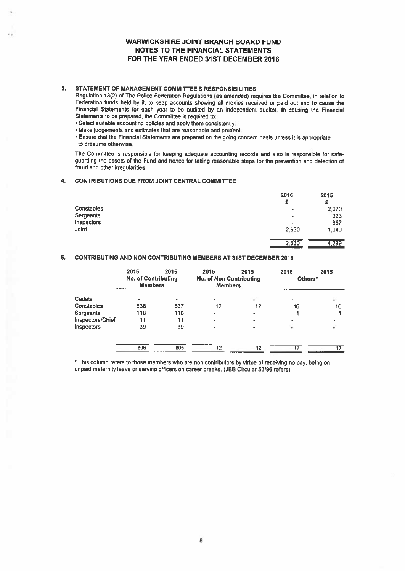## 3. STATEMENT OF MANAGEMENT COMMITTEE'S RESPONSIBILITIES

- Select suitable accounting policies and apply them consistently.
- Make judgements and estimates that are reasonable and prudent.
- Ensure that the Financial Statements are prepare<sup>d</sup> on the going concern basis unless it is appropriate to presume otherwise.

## 4. CONTRIBUTIONS DUE FROM JOINT CENTRAL COMMITTEE

|                                                                                                                                                                                                                                                                                                                                                                                                                                                                                                                                                                                                                                                                                                                               |                                                      |      | <b>WARWICKSHIRE JOINT BRANCH BOARD FUND</b><br><b>NOTES TO THE FINANCIAL STATEMENTS</b><br>FOR THE YEAR ENDED 31ST DECEMBER 2016 |      |                             |                              |
|-------------------------------------------------------------------------------------------------------------------------------------------------------------------------------------------------------------------------------------------------------------------------------------------------------------------------------------------------------------------------------------------------------------------------------------------------------------------------------------------------------------------------------------------------------------------------------------------------------------------------------------------------------------------------------------------------------------------------------|------------------------------------------------------|------|----------------------------------------------------------------------------------------------------------------------------------|------|-----------------------------|------------------------------|
| STATEMENT OF MANAGEMENT COMMITTEE'S RESPONSIBILITIES<br>Regulation 18(2) of The Police Federation Regulations (as amended) requires the Committee, in relation to<br>Federation funds held by it, to keep accounts showing all monies received or paid out and to cause the<br>Financial Statements for each year to be audited by an independent auditor. In causing the Financial<br>Statements to be prepared, the Committee is required to:<br>· Select suitable accounting policies and apply them consistently.<br>. Make judgements and estimates that are reasonable and prudent.<br>• Ensure that the Financial Statements are prepared on the going concern basis unless it is appropriate<br>to presume otherwise. |                                                      |      |                                                                                                                                  |      |                             |                              |
| The Committee is responsible for keeping adequate accounting records and also is responsible for safe-<br>guarding the assets of the Fund and hence for taking reasonable steps for the prevention and detection of<br>fraud and other irregularities.                                                                                                                                                                                                                                                                                                                                                                                                                                                                        |                                                      |      |                                                                                                                                  |      |                             |                              |
| <b>CONTRIBUTIONS DUE FROM JOINT CENTRAL COMMITTEE</b>                                                                                                                                                                                                                                                                                                                                                                                                                                                                                                                                                                                                                                                                         |                                                      |      |                                                                                                                                  |      |                             |                              |
|                                                                                                                                                                                                                                                                                                                                                                                                                                                                                                                                                                                                                                                                                                                               |                                                      |      |                                                                                                                                  |      | 2016<br>£                   | 2015<br>£                    |
| Constables<br><b>Sergeants</b><br><b>Inspectors</b><br>Joint                                                                                                                                                                                                                                                                                                                                                                                                                                                                                                                                                                                                                                                                  |                                                      |      |                                                                                                                                  |      | 2.630                       | 2.070<br>323<br>857<br>1,049 |
|                                                                                                                                                                                                                                                                                                                                                                                                                                                                                                                                                                                                                                                                                                                               |                                                      |      |                                                                                                                                  |      | 2.630                       | 4.299                        |
| CONTRIBUTING AND NON CONTRIBUTING MEMBERS AT 31ST DECEMBER 2016                                                                                                                                                                                                                                                                                                                                                                                                                                                                                                                                                                                                                                                               |                                                      |      |                                                                                                                                  |      |                             |                              |
|                                                                                                                                                                                                                                                                                                                                                                                                                                                                                                                                                                                                                                                                                                                               | 2016<br><b>No. of Contributing</b><br><b>Members</b> | 2015 | 2016<br><b>No. of Non Contributing</b><br>Members                                                                                | 2015 | 2016<br>Others <sup>*</sup> | 2015                         |

## 5. CONTRIBUTING AND NON CONTRIBUTING MEMBERS AT 31ST DECEMBER 2016

|                  | 2016<br><b>No. of Contributing</b><br><b>Members</b> | 2015 | 2016<br><b>No. of Non Contributing</b><br><b>Members</b> | 2015                     | 2016<br>Others* | 2015 |
|------------------|------------------------------------------------------|------|----------------------------------------------------------|--------------------------|-----------------|------|
| Cadets           |                                                      |      | ۰                                                        | $\overline{\phantom{a}}$ | ۰               |      |
| Constables       | 638                                                  | 637  | 12                                                       | 12                       | 16              | 16   |
| Sergeants        | 118                                                  | 118  | $\overline{\phantom{a}}$                                 |                          |                 |      |
| Inspectors/Chief | 11                                                   | 11   | ٠                                                        |                          |                 |      |
| Inspectors       | 39                                                   | 39   | ٠                                                        |                          | ۰               |      |
|                  | 806                                                  | 805  | $12 \overline{ }$                                        | 12                       | 17              |      |

\* This column refers to those members who are non contributors by virtue of receiving no pay, being on unpaid maternity leave or serving officers on career breaks. (JBB Circular 53/96 refers)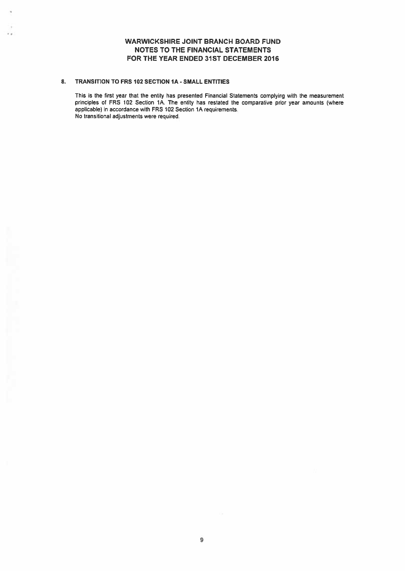## 8. TRANSITION TO FRS 102 SECTION IA - SMALL ENTITIES

SS.

This is the first year that the entity has presented Financial Statements complying with the measurement principles of FRS 102 Section 1A. The entity has restated the comparative prior year amounts (where applicable) in accordance with FRS 102 Section 1A requirements. No transitional adjustments were required.